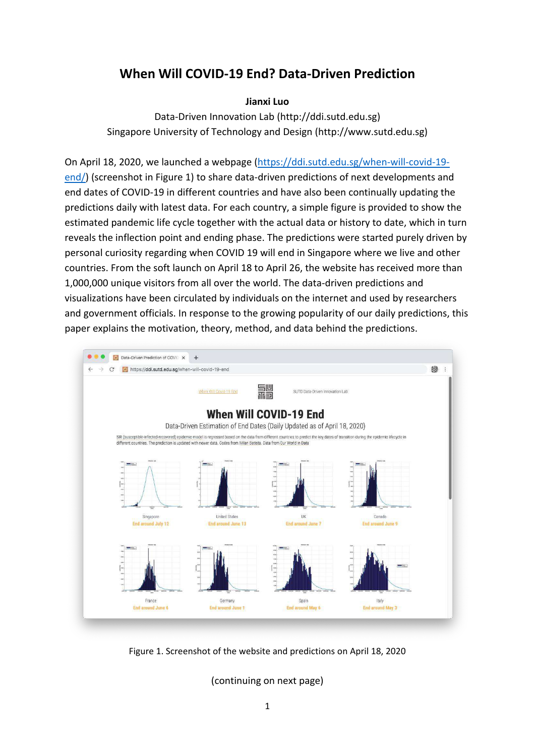# **When Will COVID-19 End? Data-Driven Prediction**

### **Jianxi Luo**

Data-Driven Innovation Lab (http://ddi.sutd.edu.sg) Singapore University of Technology and Design (http://www.sutd.edu.sg)

On April 18, 2020, we launched a webpage [\(https://ddi.sutd.edu.sg/when-will-covid-19](https://ddi.sutd.edu.sg/when-will-covid-19-end/) [end/\)](https://ddi.sutd.edu.sg/when-will-covid-19-end/) (screenshot in Figure 1) to share data-driven predictions of next developments and end dates of COVID-19 in different countries and have also been continually updating the predictions daily with latest data. For each country, a simple figure is provided to show the estimated pandemic life cycle together with the actual data or history to date, which in turn reveals the inflection point and ending phase. The predictions were started purely driven by personal curiosity regarding when COVID 19 will end in Singapore where we live and other countries. From the soft launch on April 18 to April 26, the website has received more than 1,000,000 unique visitors from all over the world. The data-driven predictions and visualizations have been circulated by individuals on the internet and used by researchers and government officials. In response to the growing popularity of our daily predictions, this paper explains the motivation, theory, method, and data behind the predictions.



Figure 1. Screenshot of the website and predictions on April 18, 2020

(continuing on next page)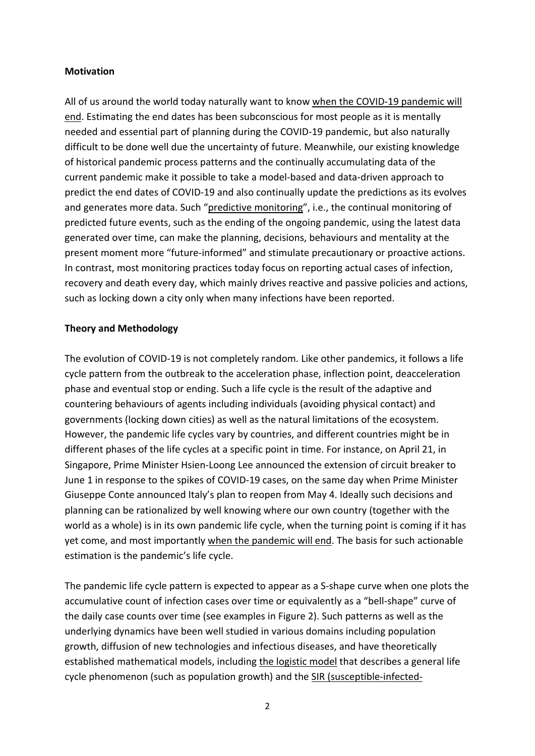### **Motivation**

All of us around the world today naturally want to know when the COVID-19 pandemic will end. Estimating the end dates has been subconscious for most people as it is mentally needed and essential part of planning during the COVID-19 pandemic, but also naturally difficult to be done well due the uncertainty of future. Meanwhile, our existing knowledge of historical pandemic process patterns and the continually accumulating data of the current pandemic make it possible to take a model-based and data-driven approach to predict the end dates of COVID-19 and also continually update the predictions as its evolves and generates more data. Such "predictive monitoring", i.e., the continual monitoring of predicted future events, such as the ending of the ongoing pandemic, using the latest data generated over time, can make the planning, decisions, behaviours and mentality at the present moment more "future-informed" and stimulate precautionary or proactive actions. In contrast, most monitoring practices today focus on reporting actual cases of infection, recovery and death every day, which mainly drives reactive and passive policies and actions, such as locking down a city only when many infections have been reported.

## **Theory and Methodology**

The evolution of COVID-19 is not completely random. Like other pandemics, it follows a life cycle pattern from the outbreak to the acceleration phase, inflection point, deacceleration phase and eventual stop or ending. Such a life cycle is the result of the adaptive and countering behaviours of agents including individuals (avoiding physical contact) and governments (locking down cities) as well as the natural limitations of the ecosystem. However, the pandemic life cycles vary by countries, and different countries might be in different phases of the life cycles at a specific point in time. For instance, on April 21, in Singapore, Prime Minister Hsien-Loong Lee announced the extension of circuit breaker to June 1 in response to the spikes of COVID-19 cases, on the same day when Prime Minister Giuseppe Conte announced Italy's plan to reopen from May 4. Ideally such decisions and planning can be rationalized by well knowing where our own country (together with the world as a whole) is in its own pandemic life cycle, when the turning point is coming if it has yet come, and most importantly when the pandemic will end. The basis for such actionable estimation is the pandemic's life cycle.

The pandemic life cycle pattern is expected to appear as a S-shape curve when one plots the accumulative count of infection cases over time or equivalently as a "bell-shape" curve of the daily case counts over time (see examples in Figure 2). Such patterns as well as the underlying dynamics have been well studied in various domains including population growth, diffusion of new technologies and infectious diseases, and have theoretically established mathematical models, including the logistic model that describes a general life cycle phenomenon (such as population growth) and the SIR (susceptible-infected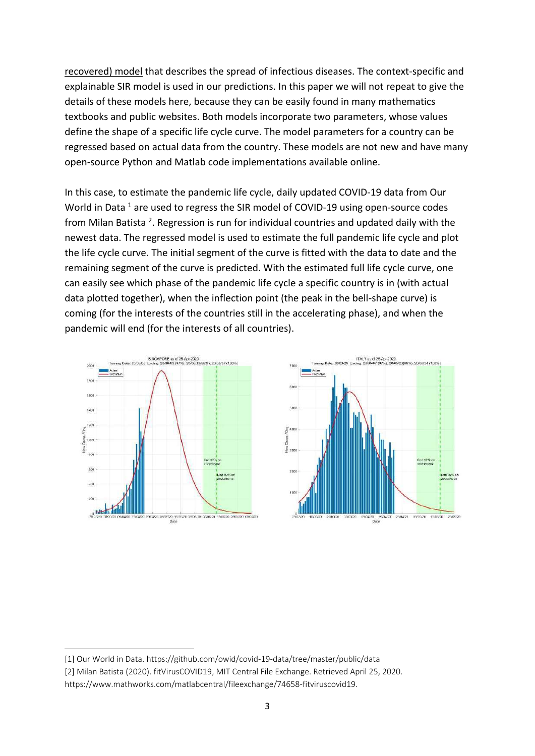recovered) model that describes the spread of infectious diseases. The context-specific and explainable SIR model is used in our predictions. In this paper we will not repeat to give the details of these models here, because they can be easily found in many mathematics textbooks and public websites. Both models incorporate two parameters, whose values define the shape of a specific life cycle curve. The model parameters for a country can be regressed based on actual data from the country. These models are not new and have many open-source Python and Matlab code implementations available online.

In this case, to estimate the pandemic life cycle, daily updated COVID-19 data from Our World in Data <sup>1</sup> are used to regress the SIR model of COVID-19 using open-source codes from Milan Batista<sup>2</sup>. Regression is run for individual countries and updated daily with the newest data. The regressed model is used to estimate the full pandemic life cycle and plot the life cycle curve. The initial segment of the curve is fitted with the data to date and the remaining segment of the curve is predicted. With the estimated full life cycle curve, one can easily see which phase of the pandemic life cycle a specific country is in (with actual data plotted together), when the inflection point (the peak in the bell-shape curve) is coming (for the interests of the countries still in the accelerating phase), and when the pandemic will end (for the interests of all countries).





<sup>[1]</sup> Our World in Data.<https://github.com/owid/covid-19-data/tree/master/public/data>

<sup>[2]</sup> Milan Batista (2020). fitVirusCOVID19, MIT Central File Exchange. Retrieved April 25, 2020. [https://www.mathworks.com/matlabcentral/fileexchange/74658-fitviruscovid19.](https://www.mathworks.com/matlabcentral/fileexchange/74658-fitviruscovid19)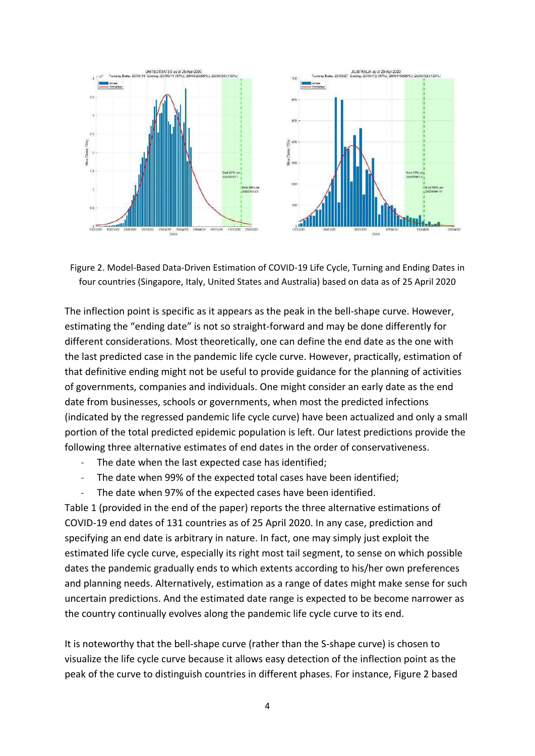

Figure 2. Model-Based Data-Driven Estimation of COVID-19 Life Cycle, Turning and Ending Dates in four countries (Singapore, Italy, United States and Australia) based on data as of 25 April 2020

The inflection point is specific as it appears as the peak in the bell-shape curve. However, estimating the "ending date" is not so straight-forward and may be done differently for different considerations. Most theoretically, one can define the end date as the one with the last predicted case in the pandemic life cycle curve. However, practically, estimation of that definitive ending might not be useful to provide guidance for the planning of activities of governments, companies and individuals. One might consider an early date as the end date from businesses, schools or governments, when most the predicted infections (indicated by the regressed pandemic life cycle curve) have been actualized and only a small portion of the total predicted epidemic population is left. Our latest predictions provide the following three alternative estimates of end dates in the order of conservativeness.

- The date when the last expected case has identified;
- The date when 99% of the expected total cases have been identified;
- The date when 97% of the expected cases have been identified.

Table 1 (provided in the end of the paper) reports the three alternative estimations of COVID-19 end dates of 131 countries as of 25 April 2020. In any case, prediction and specifying an end date is arbitrary in nature. In fact, one may simply just exploit the estimated life cycle curve, especially its right most tail segment, to sense on which possible dates the pandemic gradually ends to which extents according to his/her own preferences and planning needs. Alternatively, estimation as a range of dates might make sense for such uncertain predictions. And the estimated date range is expected to be become narrower as the country continually evolves along the pandemic life cycle curve to its end.

It is noteworthy that the bell-shape curve (rather than the S-shape curve) is chosen to visualize the life cycle curve because it allows easy detection of the inflection point as the peak of the curve to distinguish countries in different phases. For instance, Figure 2 based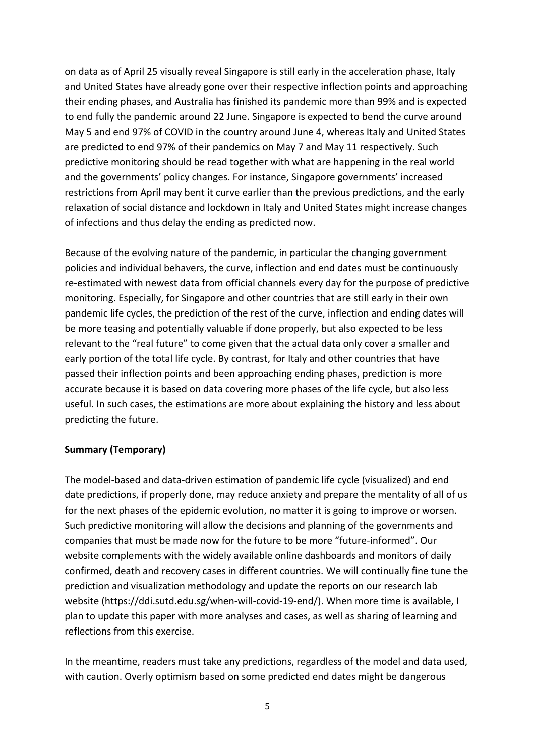on data as of April 25 visually reveal Singapore is still early in the acceleration phase, Italy and United States have already gone over their respective inflection points and approaching their ending phases, and Australia has finished its pandemic more than 99% and is expected to end fully the pandemic around 22 June. Singapore is expected to bend the curve around May 5 and end 97% of COVID in the country around June 4, whereas Italy and United States are predicted to end 97% of their pandemics on May 7 and May 11 respectively. Such predictive monitoring should be read together with what are happening in the real world and the governments' policy changes. For instance, Singapore governments' increased restrictions from April may bent it curve earlier than the previous predictions, and the early relaxation of social distance and lockdown in Italy and United States might increase changes of infections and thus delay the ending as predicted now.

Because of the evolving nature of the pandemic, in particular the changing government policies and individual behavers, the curve, inflection and end dates must be continuously re-estimated with newest data from official channels every day for the purpose of predictive monitoring. Especially, for Singapore and other countries that are still early in their own pandemic life cycles, the prediction of the rest of the curve, inflection and ending dates will be more teasing and potentially valuable if done properly, but also expected to be less relevant to the "real future" to come given that the actual data only cover a smaller and early portion of the total life cycle. By contrast, for Italy and other countries that have passed their inflection points and been approaching ending phases, prediction is more accurate because it is based on data covering more phases of the life cycle, but also less useful. In such cases, the estimations are more about explaining the history and less about predicting the future.

#### **Summary (Temporary)**

The model-based and data-driven estimation of pandemic life cycle (visualized) and end date predictions, if properly done, may reduce anxiety and prepare the mentality of all of us for the next phases of the epidemic evolution, no matter it is going to improve or worsen. Such predictive monitoring will allow the decisions and planning of the governments and companies that must be made now for the future to be more "future-informed". Our website complements with the widely available online dashboards and monitors of daily confirmed, death and recovery cases in different countries. We will continually fine tune the prediction and visualization methodology and update the reports on our research lab website (https://ddi.sutd.edu.sg/when-will-covid-19-end/). When more time is available, I plan to update this paper with more analyses and cases, as well as sharing of learning and reflections from this exercise.

In the meantime, readers must take any predictions, regardless of the model and data used, with caution. Overly optimism based on some predicted end dates might be dangerous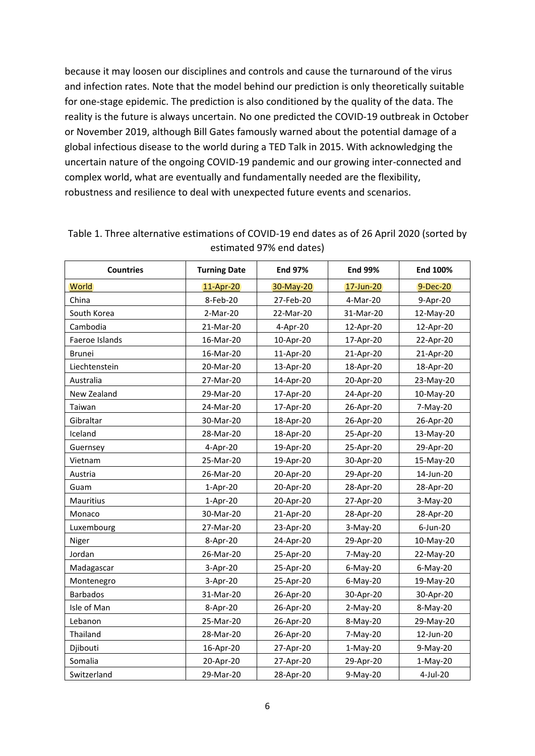because it may loosen our disciplines and controls and cause the turnaround of the virus and infection rates. Note that the model behind our prediction is only theoretically suitable for one-stage epidemic. The prediction is also conditioned by the quality of the data. The reality is the future is always uncertain. No one predicted the COVID-19 outbreak in October or November 2019, although Bill Gates famously warned about the potential damage of a global infectious disease to the world during a TED Talk in 2015. With acknowledging the uncertain nature of the ongoing COVID-19 pandemic and our growing inter-connected and complex world, what are eventually and fundamentally needed are the flexibility, robustness and resilience to deal with unexpected future events and scenarios.

| <b>Countries</b> | <b>Turning Date</b> | <b>End 97%</b> | <b>End 99%</b> | <b>End 100%</b> |
|------------------|---------------------|----------------|----------------|-----------------|
| <b>World</b>     | 11-Apr-20           | 30-May-20      | 17-Jun-20      | $9$ -Dec-20     |
| China            | 8-Feb-20            | 27-Feb-20      | 4-Mar-20       | 9-Apr-20        |
| South Korea      | 2-Mar-20            | 22-Mar-20      | 31-Mar-20      | 12-May-20       |
| Cambodia         | 21-Mar-20           | 4-Apr-20       | 12-Apr-20      | 12-Apr-20       |
| Faeroe Islands   | 16-Mar-20           | 10-Apr-20      | 17-Apr-20      | 22-Apr-20       |
| <b>Brunei</b>    | 16-Mar-20           | 11-Apr-20      | 21-Apr-20      | 21-Apr-20       |
| Liechtenstein    | 20-Mar-20           | 13-Apr-20      | 18-Apr-20      | 18-Apr-20       |
| Australia        | 27-Mar-20           | 14-Apr-20      | 20-Apr-20      | 23-May-20       |
| New Zealand      | 29-Mar-20           | 17-Apr-20      | 24-Apr-20      | 10-May-20       |
| Taiwan           | 24-Mar-20           | 17-Apr-20      | 26-Apr-20      | 7-May-20        |
| Gibraltar        | 30-Mar-20           | 18-Apr-20      | 26-Apr-20      | 26-Apr-20       |
| Iceland          | 28-Mar-20           | 18-Apr-20      | 25-Apr-20      | 13-May-20       |
| Guernsey         | 4-Apr-20            | 19-Apr-20      | 25-Apr-20      | 29-Apr-20       |
| Vietnam          | 25-Mar-20           | 19-Apr-20      | 30-Apr-20      | 15-May-20       |
| Austria          | 26-Mar-20           | 20-Apr-20      | 29-Apr-20      | 14-Jun-20       |
| Guam             | $1-Apr-20$          | 20-Apr-20      | 28-Apr-20      | 28-Apr-20       |
| Mauritius        | $1-Apr-20$          | 20-Apr-20      | 27-Apr-20      | $3-May-20$      |
| Monaco           | 30-Mar-20           | 21-Apr-20      | 28-Apr-20      | 28-Apr-20       |
| Luxembourg       | 27-Mar-20           | 23-Apr-20      | 3-May-20       | $6$ -Jun-20     |
| Niger            | 8-Apr-20            | 24-Apr-20      | 29-Apr-20      | 10-May-20       |
| Jordan           | 26-Mar-20           | 25-Apr-20      | 7-May-20       | 22-May-20       |
| Madagascar       | 3-Apr-20            | 25-Apr-20      | $6$ -May-20    | $6$ -May-20     |
| Montenegro       | 3-Apr-20            | 25-Apr-20      | $6$ -May-20    | 19-May-20       |
| <b>Barbados</b>  | 31-Mar-20           | 26-Apr-20      | 30-Apr-20      | 30-Apr-20       |
| Isle of Man      | 8-Apr-20            | 26-Apr-20      | $2-May-20$     | 8-May-20        |
| Lebanon          | 25-Mar-20           | 26-Apr-20      | 8-May-20       | 29-May-20       |
| Thailand         | 28-Mar-20           | 26-Apr-20      | 7-May-20       | 12-Jun-20       |
| Djibouti         | 16-Apr-20           | 27-Apr-20      | $1-May-20$     | 9-May-20        |
| Somalia          | 20-Apr-20           | 27-Apr-20      | 29-Apr-20      | $1-May-20$      |
| Switzerland      | 29-Mar-20           | 28-Apr-20      | 9-May-20       | 4-Jul-20        |

Table 1. Three alternative estimations of COVID-19 end dates as of 26 April 2020 (sorted by estimated 97% end dates)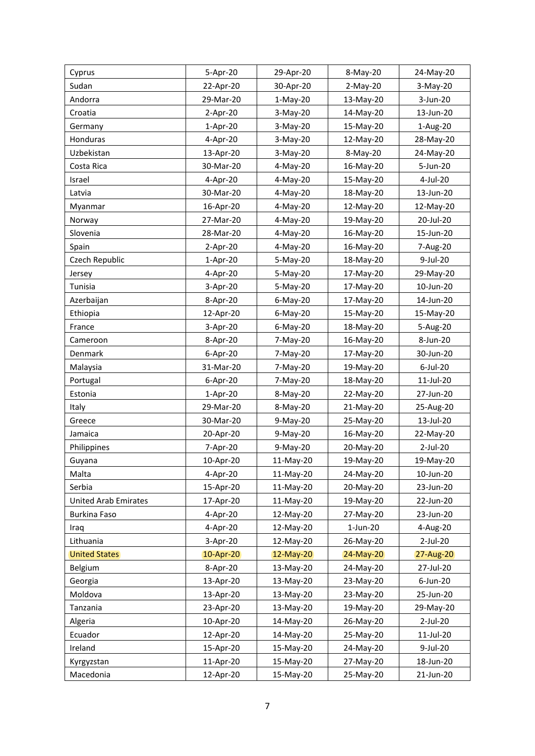| Cyprus                      | 5-Apr-20   | 29-Apr-20   | 8-May-20   | 24-May-20 |
|-----------------------------|------------|-------------|------------|-----------|
| Sudan                       | 22-Apr-20  | 30-Apr-20   | $2-May-20$ | 3-May-20  |
| Andorra                     | 29-Mar-20  | $1-May-20$  | 13-May-20  | 3-Jun-20  |
| Croatia                     | 2-Apr-20   | $3-May-20$  | 14-May-20  | 13-Jun-20 |
| Germany                     | $1-Apr-20$ | $3-May-20$  | 15-May-20  | 1-Aug-20  |
| Honduras                    | 4-Apr-20   | 3-May-20    | 12-May-20  | 28-May-20 |
| Uzbekistan                  | 13-Apr-20  | 3-May-20    | 8-May-20   | 24-May-20 |
| Costa Rica                  | 30-Mar-20  | 4-May-20    | 16-May-20  | 5-Jun-20  |
| Israel                      | 4-Apr-20   | 4-May-20    | 15-May-20  | 4-Jul-20  |
| Latvia                      | 30-Mar-20  | 4-May-20    | 18-May-20  | 13-Jun-20 |
| Myanmar                     | 16-Apr-20  | 4-May-20    | 12-May-20  | 12-May-20 |
| Norway                      | 27-Mar-20  | 4-May-20    | 19-May-20  | 20-Jul-20 |
| Slovenia                    | 28-Mar-20  | 4-May-20    | 16-May-20  | 15-Jun-20 |
| Spain                       | 2-Apr-20   | 4-May-20    | 16-May-20  | 7-Aug-20  |
| Czech Republic              | $1-Apr-20$ | 5-May-20    | 18-May-20  | 9-Jul-20  |
| Jersey                      | 4-Apr-20   | 5-May-20    | 17-May-20  | 29-May-20 |
| Tunisia                     | 3-Apr-20   | 5-May-20    | 17-May-20  | 10-Jun-20 |
| Azerbaijan                  | 8-Apr-20   | $6$ -May-20 | 17-May-20  | 14-Jun-20 |
| Ethiopia                    | 12-Apr-20  | 6-May-20    | 15-May-20  | 15-May-20 |
| France                      | 3-Apr-20   | $6$ -May-20 | 18-May-20  | 5-Aug-20  |
| Cameroon                    | 8-Apr-20   | 7-May-20    | 16-May-20  | 8-Jun-20  |
| Denmark                     | 6-Apr-20   | 7-May-20    | 17-May-20  | 30-Jun-20 |
| Malaysia                    | 31-Mar-20  | 7-May-20    | 19-May-20  | 6-Jul-20  |
| Portugal                    | 6-Apr-20   | 7-May-20    | 18-May-20  | 11-Jul-20 |
| Estonia                     | $1-Apr-20$ | 8-May-20    | 22-May-20  | 27-Jun-20 |
| Italy                       | 29-Mar-20  | 8-May-20    | 21-May-20  | 25-Aug-20 |
| Greece                      | 30-Mar-20  | 9-May-20    | 25-May-20  | 13-Jul-20 |
| Jamaica                     | 20-Apr-20  | 9-May-20    | 16-May-20  | 22-May-20 |
| Philippines                 | 7-Apr-20   | 9-May-20    | 20-May-20  | 2-Jul-20  |
| Guyana                      | 10-Apr-20  | 11-May-20   | 19-May-20  | 19-May-20 |
| Malta                       | 4-Apr-20   | 11-May-20   | 24-May-20  | 10-Jun-20 |
| Serbia                      | 15-Apr-20  | 11-May-20   | 20-May-20  | 23-Jun-20 |
| <b>United Arab Emirates</b> | 17-Apr-20  | 11-May-20   | 19-May-20  | 22-Jun-20 |
| <b>Burkina Faso</b>         | 4-Apr-20   | 12-May-20   | 27-May-20  | 23-Jun-20 |
| Iraq                        | 4-Apr-20   | 12-May-20   | 1-Jun-20   | 4-Aug-20  |
| Lithuania                   | 3-Apr-20   | 12-May-20   | 26-May-20  | 2-Jul-20  |
| <b>United States</b>        | 10-Apr-20  | 12-May-20   | 24-May-20  | 27-Aug-20 |
| Belgium                     | 8-Apr-20   | 13-May-20   | 24-May-20  | 27-Jul-20 |
| Georgia                     | 13-Apr-20  | 13-May-20   | 23-May-20  | 6-Jun-20  |
| Moldova                     | 13-Apr-20  | 13-May-20   | 23-May-20  | 25-Jun-20 |
| Tanzania                    | 23-Apr-20  | 13-May-20   | 19-May-20  | 29-May-20 |
| Algeria                     | 10-Apr-20  | 14-May-20   | 26-May-20  | 2-Jul-20  |
| Ecuador                     | 12-Apr-20  | 14-May-20   | 25-May-20  | 11-Jul-20 |
| Ireland                     | 15-Apr-20  | 15-May-20   | 24-May-20  | 9-Jul-20  |
| Kyrgyzstan                  | 11-Apr-20  | 15-May-20   | 27-May-20  | 18-Jun-20 |
| Macedonia                   | 12-Apr-20  | 15-May-20   | 25-May-20  | 21-Jun-20 |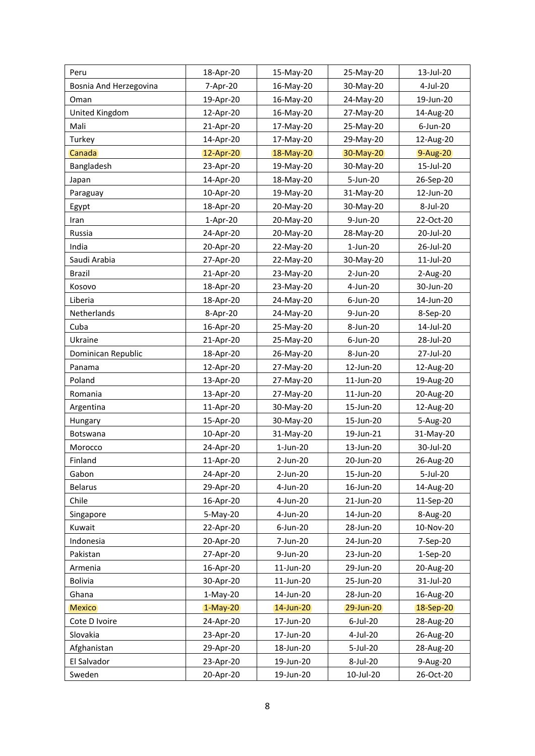| Peru                   | 18-Apr-20  | 15-May-20   | 25-May-20   | 13-Jul-20   |
|------------------------|------------|-------------|-------------|-------------|
| Bosnia And Herzegovina | 7-Apr-20   | 16-May-20   | 30-May-20   | 4-Jul-20    |
| Oman                   | 19-Apr-20  | 16-May-20   | 24-May-20   | 19-Jun-20   |
| United Kingdom         | 12-Apr-20  | 16-May-20   | 27-May-20   | 14-Aug-20   |
| Mali                   | 21-Apr-20  | 17-May-20   | 25-May-20   | $6$ -Jun-20 |
| Turkey                 | 14-Apr-20  | 17-May-20   | 29-May-20   | 12-Aug-20   |
| Canada                 | 12-Apr-20  | 18-May-20   | 30-May-20   | 9-Aug-20    |
| Bangladesh             | 23-Apr-20  | 19-May-20   | 30-May-20   | 15-Jul-20   |
| Japan                  | 14-Apr-20  | 18-May-20   | 5-Jun-20    | 26-Sep-20   |
| Paraguay               | 10-Apr-20  | 19-May-20   | 31-May-20   | 12-Jun-20   |
| Egypt                  | 18-Apr-20  | 20-May-20   | 30-May-20   | 8-Jul-20    |
| Iran                   | $1-Apr-20$ | 20-May-20   | 9-Jun-20    | 22-Oct-20   |
| Russia                 | 24-Apr-20  | 20-May-20   | 28-May-20   | 20-Jul-20   |
| India                  | 20-Apr-20  | 22-May-20   | $1$ -Jun-20 | 26-Jul-20   |
| Saudi Arabia           | 27-Apr-20  | 22-May-20   | 30-May-20   | 11-Jul-20   |
| <b>Brazil</b>          | 21-Apr-20  | 23-May-20   | 2-Jun-20    | 2-Aug-20    |
| Kosovo                 | 18-Apr-20  | 23-May-20   | 4-Jun-20    | 30-Jun-20   |
| Liberia                | 18-Apr-20  | 24-May-20   | $6$ -Jun-20 | 14-Jun-20   |
| Netherlands            | 8-Apr-20   | 24-May-20   | 9-Jun-20    | 8-Sep-20    |
| Cuba                   | 16-Apr-20  | 25-May-20   | 8-Jun-20    | 14-Jul-20   |
| Ukraine                | 21-Apr-20  | 25-May-20   | $6$ -Jun-20 | 28-Jul-20   |
| Dominican Republic     | 18-Apr-20  | 26-May-20   | 8-Jun-20    | 27-Jul-20   |
| Panama                 | 12-Apr-20  | 27-May-20   | 12-Jun-20   | 12-Aug-20   |
| Poland                 | 13-Apr-20  | 27-May-20   | 11-Jun-20   | 19-Aug-20   |
| Romania                | 13-Apr-20  | 27-May-20   | 11-Jun-20   | 20-Aug-20   |
| Argentina              | 11-Apr-20  | 30-May-20   | 15-Jun-20   | 12-Aug-20   |
| Hungary                | 15-Apr-20  | 30-May-20   | 15-Jun-20   | 5-Aug-20    |
| Botswana               | 10-Apr-20  | 31-May-20   | 19-Jun-21   | 31-May-20   |
| Morocco                | 24-Apr-20  | $1$ -Jun-20 | 13-Jun-20   | 30-Jul-20   |
| Finland                | 11-Apr-20  | 2-Jun-20    | 20-Jun-20   | 26-Aug-20   |
| Gabon                  | 24-Apr-20  | 2-Jun-20    | 15-Jun-20   | 5-Jul-20    |
| <b>Belarus</b>         | 29-Apr-20  | 4-Jun-20    | 16-Jun-20   | 14-Aug-20   |
| Chile                  | 16-Apr-20  | 4-Jun-20    | 21-Jun-20   | 11-Sep-20   |
| Singapore              | 5-May-20   | 4-Jun-20    | 14-Jun-20   | 8-Aug-20    |
| Kuwait                 | 22-Apr-20  | 6-Jun-20    | 28-Jun-20   | 10-Nov-20   |
| Indonesia              | 20-Apr-20  | 7-Jun-20    | 24-Jun-20   | 7-Sep-20    |
| Pakistan               | 27-Apr-20  | 9-Jun-20    | 23-Jun-20   | 1-Sep-20    |
| Armenia                | 16-Apr-20  | 11-Jun-20   | 29-Jun-20   | 20-Aug-20   |
| <b>Bolivia</b>         | 30-Apr-20  | 11-Jun-20   | 25-Jun-20   | 31-Jul-20   |
| Ghana                  | $1-May-20$ | 14-Jun-20   | 28-Jun-20   | 16-Aug-20   |
| <b>Mexico</b>          | $1-May-20$ | 14-Jun-20   | 29-Jun-20   | 18-Sep-20   |
| Cote D Ivoire          | 24-Apr-20  | 17-Jun-20   | 6-Jul-20    | 28-Aug-20   |
| Slovakia               | 23-Apr-20  | 17-Jun-20   | 4-Jul-20    | 26-Aug-20   |
| Afghanistan            | 29-Apr-20  | 18-Jun-20   | 5-Jul-20    | 28-Aug-20   |
| El Salvador            | 23-Apr-20  | 19-Jun-20   | 8-Jul-20    | 9-Aug-20    |
| Sweden                 | 20-Apr-20  | 19-Jun-20   | 10-Jul-20   | 26-Oct-20   |